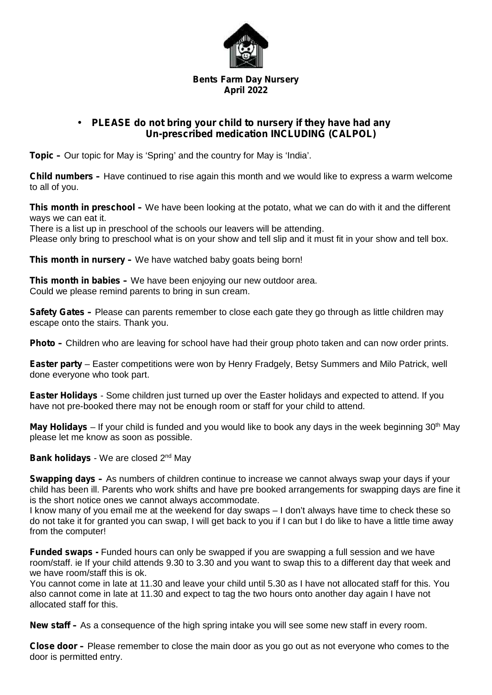

## **Bents Farm Day Nursery April 2022**

## **PLEASE do not bring your child to nursery if they have had any Un-prescribed medication INCLUDING (CALPOL)**

**Topic –** Our topic for May is 'Spring' and the country for May is 'India'.

**Child numbers –** Have continued to rise again this month and we would like to express a warm welcome to all of you.

**This month in preschool –** We have been looking at the potato, what we can do with it and the different ways we can eat it.

There is a list up in preschool of the schools our leavers will be attending. Please only bring to preschool what is on your show and tell slip and it must fit in your show and tell box.

**This month in nursery –** We have watched baby goats being born!

**This month in babies –** We have been enjoying our new outdoor area. Could we please remind parents to bring in sun cream.

**Safety Gates** – Please can parents remember to close each gate they go through as little children may escape onto the stairs. Thank you.

**Photo –** Children who are leaving for school have had their group photo taken and can now order prints.

**Easter party** – Easter competitions were won by Henry Fradgely, Betsy Summers and Milo Patrick, well done everyone who took part.

**Easter Holidays** - Some children just turned up over the Easter holidays and expected to attend. If you have not pre-booked there may not be enough room or staff for your child to attend.

**May Holidays** – If your child is funded and you would like to book any days in the week beginning 30<sup>th</sup> May please let me know as soon as possible.

**Bank holidays** - We are closed 2<sup>nd</sup> May

**Swapping days –** As numbers of children continue to increase we cannot always swap your days if your child has been ill. Parents who work shifts and have pre booked arrangements for swapping days are fine it is the short notice ones we cannot always accommodate.

I know many of you email me at the weekend for day swaps – I don't always have time to check these so do not take it for granted you can swap, I will get back to you if I can but I do like to have a little time away from the computer!

**Funded swaps -** Funded hours can only be swapped if you are swapping a full session and we have room/staff. ie If your child attends 9.30 to 3.30 and you want to swap this to a different day that week and we have room/staff this is ok.

You cannot come in late at 11.30 and leave your child until 5.30 as I have not allocated staff for this. You also cannot come in late at 11.30 and expect to tag the two hours onto another day again I have not allocated staff for this.

**New staff –** As a consequence of the high spring intake you will see some new staff in every room.

**Close door –** Please remember to close the main door as you go out as not everyone who comes to the door is permitted entry.